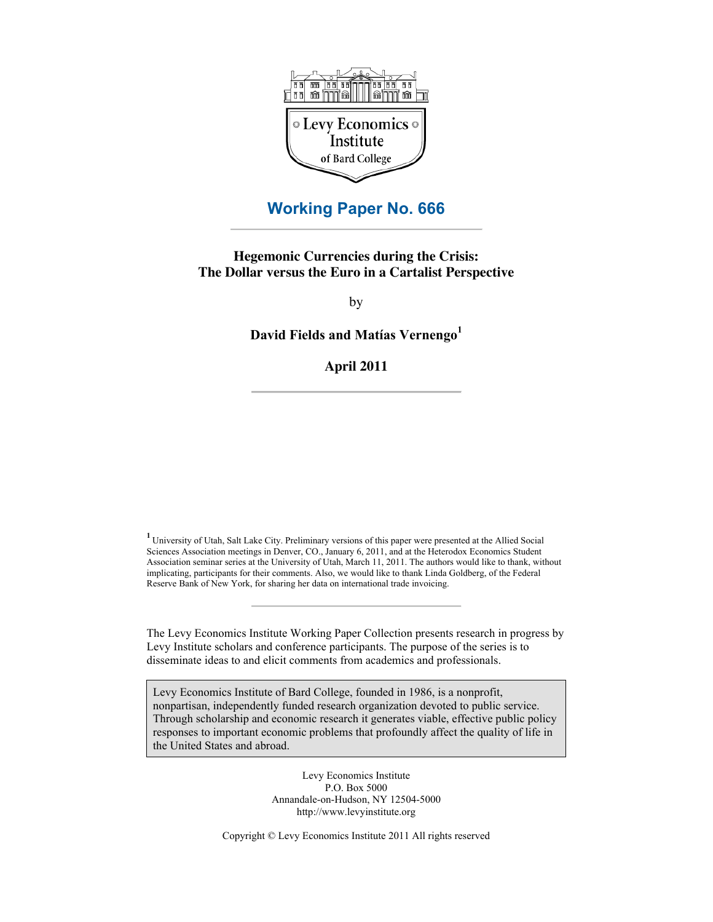

# **Working Paper No. 666**

## **Hegemonic Currencies during the Crisis: The Dollar versus the Euro in a Cartalist Perspective**

by

**David Fields and Matías Vernengo<sup>1</sup>** 

### **April 2011**

**<sup>1</sup>** University of Utah, Salt Lake City. Preliminary versions of this paper were presented at the Allied Social Sciences Association meetings in Denver, CO., January 6, 2011, and at the Heterodox Economics Student Association seminar series at the University of Utah, March 11, 2011. The authors would like to thank, without implicating, participants for their comments. Also, we would like to thank Linda Goldberg, of the Federal Reserve Bank of New York, for sharing her data on international trade invoicing.

The Levy Economics Institute Working Paper Collection presents research in progress by Levy Institute scholars and conference participants. The purpose of the series is to disseminate ideas to and elicit comments from academics and professionals.

Levy Economics Institute of Bard College, founded in 1986, is a nonprofit, nonpartisan, independently funded research organization devoted to public service. Through scholarship and economic research it generates viable, effective public policy responses to important economic problems that profoundly affect the quality of life in the United States and abroad.

> Levy Economics Institute P.O. Box 5000 Annandale-on-Hudson, NY 12504-5000 http://www.levyinstitute.org

Copyright © Levy Economics Institute 2011 All rights reserved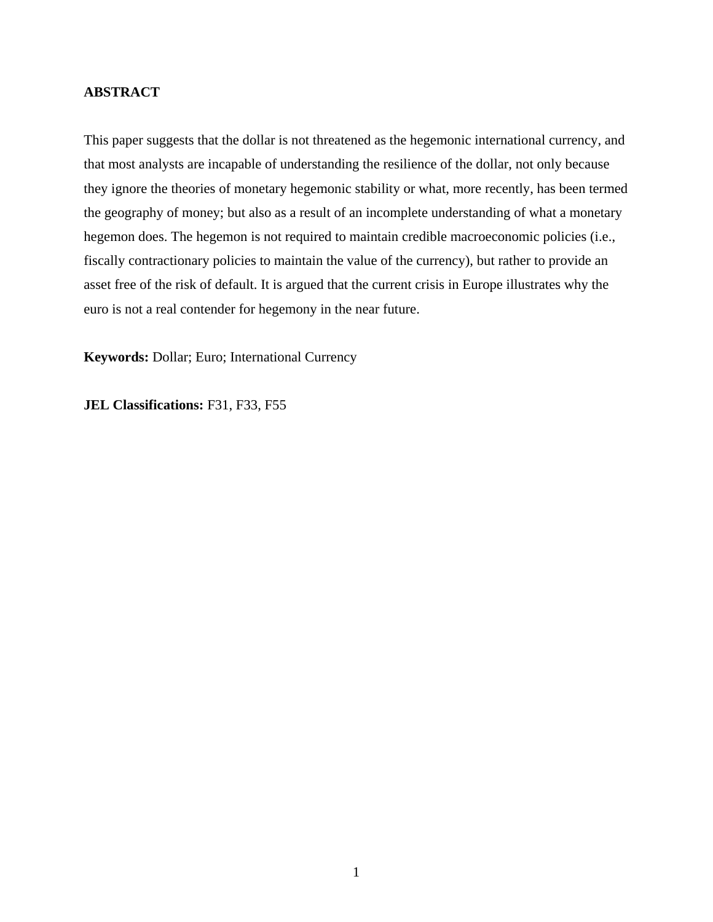## **ABSTRACT**

This paper suggests that the dollar is not threatened as the hegemonic international currency, and that most analysts are incapable of understanding the resilience of the dollar, not only because they ignore the theories of monetary hegemonic stability or what, more recently, has been termed the geography of money; but also as a result of an incomplete understanding of what a monetary hegemon does. The hegemon is not required to maintain credible macroeconomic policies (i.e., fiscally contractionary policies to maintain the value of the currency), but rather to provide an asset free of the risk of default. It is argued that the current crisis in Europe illustrates why the euro is not a real contender for hegemony in the near future.

**Keywords:** Dollar; Euro; International Currency

**JEL Classifications:** F31, F33, F55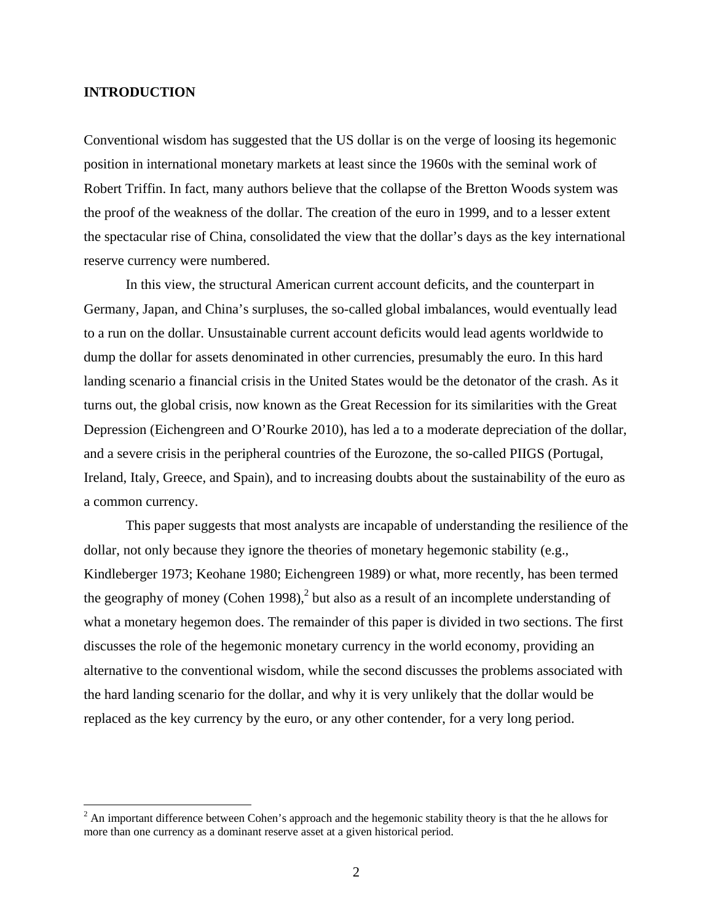### **INTRODUCTION**

Conventional wisdom has suggested that the US dollar is on the verge of loosing its hegemonic position in international monetary markets at least since the 1960s with the seminal work of Robert Triffin. In fact, many authors believe that the collapse of the Bretton Woods system was the proof of the weakness of the dollar. The creation of the euro in 1999, and to a lesser extent the spectacular rise of China, consolidated the view that the dollar's days as the key international reserve currency were numbered.

In this view, the structural American current account deficits, and the counterpart in Germany, Japan, and China's surpluses, the so-called global imbalances, would eventually lead to a run on the dollar. Unsustainable current account deficits would lead agents worldwide to dump the dollar for assets denominated in other currencies, presumably the euro. In this hard landing scenario a financial crisis in the United States would be the detonator of the crash. As it turns out, the global crisis, now known as the Great Recession for its similarities with the Great Depression (Eichengreen and O'Rourke 2010), has led a to a moderate depreciation of the dollar, and a severe crisis in the peripheral countries of the Eurozone, the so-called PIIGS (Portugal, Ireland, Italy, Greece, and Spain), and to increasing doubts about the sustainability of the euro as a common currency.

This paper suggests that most analysts are incapable of understanding the resilience of the dollar, not only because they ignore the theories of monetary hegemonic stability (e.g., Kindleberger 1973; Keohane 1980; Eichengreen 1989) or what, more recently, has been termed the geography of money (Cohen 1998),<sup>2</sup> but also as a result of an incomplete understanding of what a monetary hegemon does. The remainder of this paper is divided in two sections. The first discusses the role of the hegemonic monetary currency in the world economy, providing an alternative to the conventional wisdom, while the second discusses the problems associated with the hard landing scenario for the dollar, and why it is very unlikely that the dollar would be replaced as the key currency by the euro, or any other contender, for a very long period.

<sup>&</sup>lt;sup>2</sup> An important difference between Cohen's approach and the hegemonic stability theory is that the he allows for more than one currency as a dominant reserve asset at a given historical period.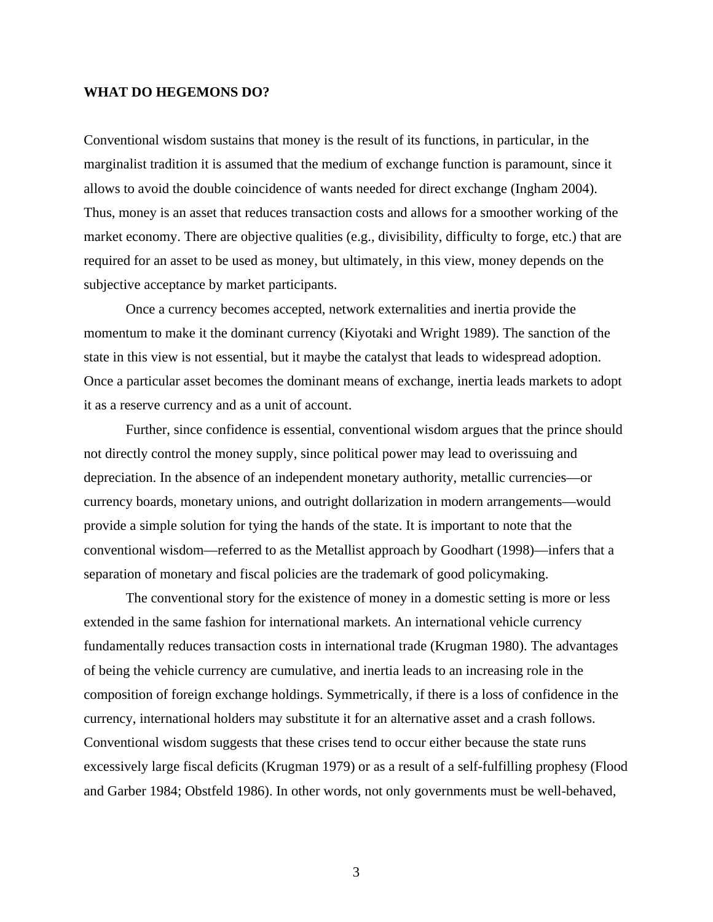#### **WHAT DO HEGEMONS DO?**

Conventional wisdom sustains that money is the result of its functions, in particular, in the marginalist tradition it is assumed that the medium of exchange function is paramount, since it allows to avoid the double coincidence of wants needed for direct exchange (Ingham 2004). Thus, money is an asset that reduces transaction costs and allows for a smoother working of the market economy. There are objective qualities (e.g., divisibility, difficulty to forge, etc.) that are required for an asset to be used as money, but ultimately, in this view, money depends on the subjective acceptance by market participants.

Once a currency becomes accepted, network externalities and inertia provide the momentum to make it the dominant currency (Kiyotaki and Wright 1989). The sanction of the state in this view is not essential, but it maybe the catalyst that leads to widespread adoption. Once a particular asset becomes the dominant means of exchange, inertia leads markets to adopt it as a reserve currency and as a unit of account.

Further, since confidence is essential, conventional wisdom argues that the prince should not directly control the money supply, since political power may lead to overissuing and depreciation. In the absence of an independent monetary authority, metallic currencies—or currency boards, monetary unions, and outright dollarization in modern arrangements—would provide a simple solution for tying the hands of the state. It is important to note that the conventional wisdom—referred to as the Metallist approach by Goodhart (1998)—infers that a separation of monetary and fiscal policies are the trademark of good policymaking.

The conventional story for the existence of money in a domestic setting is more or less extended in the same fashion for international markets. An international vehicle currency fundamentally reduces transaction costs in international trade (Krugman 1980). The advantages of being the vehicle currency are cumulative, and inertia leads to an increasing role in the composition of foreign exchange holdings. Symmetrically, if there is a loss of confidence in the currency, international holders may substitute it for an alternative asset and a crash follows. Conventional wisdom suggests that these crises tend to occur either because the state runs excessively large fiscal deficits (Krugman 1979) or as a result of a self-fulfilling prophesy (Flood and Garber 1984; Obstfeld 1986). In other words, not only governments must be well-behaved,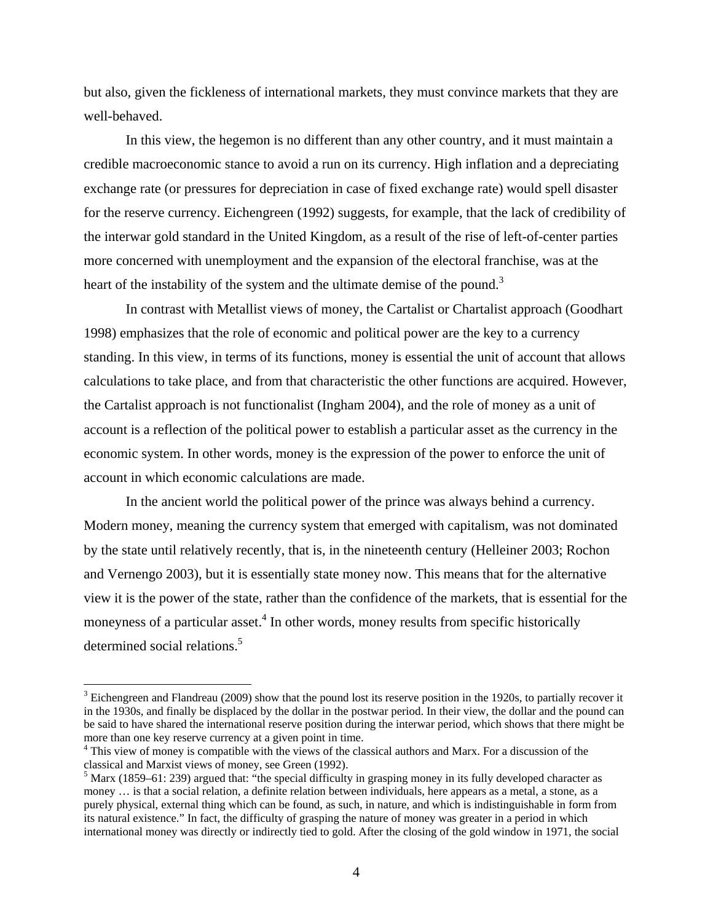but also, given the fickleness of international markets, they must convince markets that they are well-behaved.

In this view, the hegemon is no different than any other country, and it must maintain a credible macroeconomic stance to avoid a run on its currency. High inflation and a depreciating exchange rate (or pressures for depreciation in case of fixed exchange rate) would spell disaster for the reserve currency. Eichengreen (1992) suggests, for example, that the lack of credibility of the interwar gold standard in the United Kingdom, as a result of the rise of left-of-center parties more concerned with unemployment and the expansion of the electoral franchise, was at the heart of the instability of the system and the ultimate demise of the pound.<sup>3</sup>

In contrast with Metallist views of money, the Cartalist or Chartalist approach (Goodhart 1998) emphasizes that the role of economic and political power are the key to a currency standing. In this view, in terms of its functions, money is essential the unit of account that allows calculations to take place, and from that characteristic the other functions are acquired. However, the Cartalist approach is not functionalist (Ingham 2004), and the role of money as a unit of account is a reflection of the political power to establish a particular asset as the currency in the economic system. In other words, money is the expression of the power to enforce the unit of account in which economic calculations are made.

In the ancient world the political power of the prince was always behind a currency. Modern money, meaning the currency system that emerged with capitalism, was not dominated by the state until relatively recently, that is, in the nineteenth century (Helleiner 2003; Rochon and Vernengo 2003), but it is essentially state money now. This means that for the alternative view it is the power of the state, rather than the confidence of the markets, that is essential for the moneyness of a particular asset.<sup>4</sup> In other words, money results from specific historically determined social relations.<sup>5</sup>

 $3$  Eichengreen and Flandreau (2009) show that the pound lost its reserve position in the 1920s, to partially recover it in the 1930s, and finally be displaced by the dollar in the postwar period. In their view, the dollar and the pound can be said to have shared the international reserve position during the interwar period, which shows that there might be more than one key reserve currency at a given point in time.

<sup>&</sup>lt;sup>4</sup> This view of money is compatible with the views of the classical authors and Marx. For a discussion of the classical and Marxist views of money, see Green (1992).

 $<sup>5</sup>$  Marx (1859–61: 239) argued that: "the special difficulty in grasping money in its fully developed character as</sup> money … is that a social relation, a definite relation between individuals, here appears as a metal, a stone, as a purely physical, external thing which can be found, as such, in nature, and which is indistinguishable in form from its natural existence." In fact, the difficulty of grasping the nature of money was greater in a period in which international money was directly or indirectly tied to gold. After the closing of the gold window in 1971, the social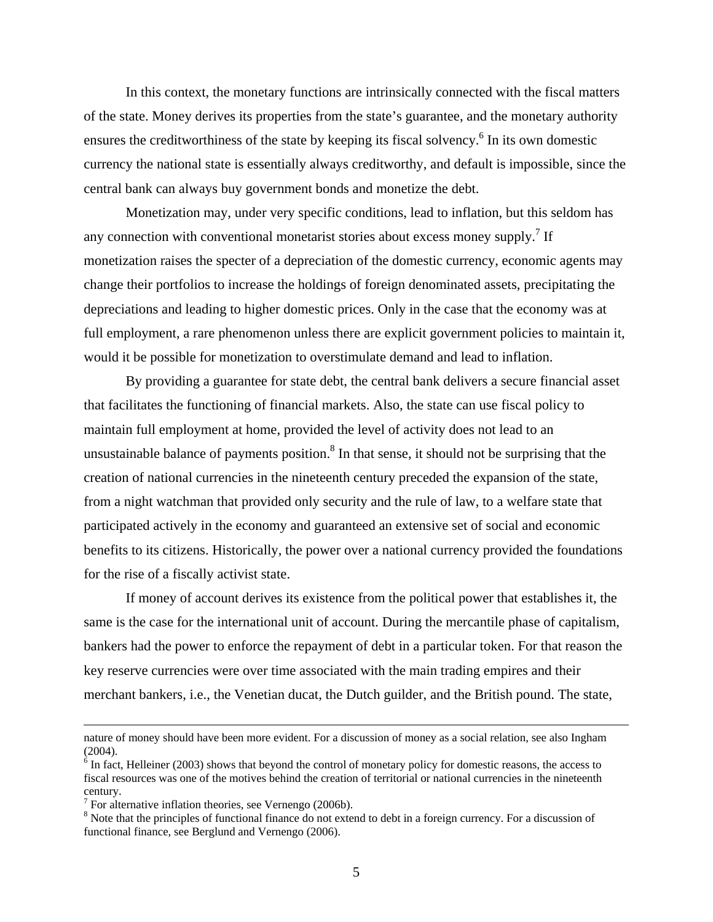In this context, the monetary functions are intrinsically connected with the fiscal matters of the state. Money derives its properties from the state's guarantee, and the monetary authority ensures the creditworthiness of the state by keeping its fiscal solvency.<sup>6</sup> In its own domestic currency the national state is essentially always creditworthy, and default is impossible, since the central bank can always buy government bonds and monetize the debt.

Monetization may, under very specific conditions, lead to inflation, but this seldom has any connection with conventional monetarist stories about excess money supply.<sup>7</sup> If monetization raises the specter of a depreciation of the domestic currency, economic agents may change their portfolios to increase the holdings of foreign denominated assets, precipitating the depreciations and leading to higher domestic prices. Only in the case that the economy was at full employment, a rare phenomenon unless there are explicit government policies to maintain it, would it be possible for monetization to overstimulate demand and lead to inflation.

By providing a guarantee for state debt, the central bank delivers a secure financial asset that facilitates the functioning of financial markets. Also, the state can use fiscal policy to maintain full employment at home, provided the level of activity does not lead to an unsustainable balance of payments position.<sup>8</sup> In that sense, it should not be surprising that the creation of national currencies in the nineteenth century preceded the expansion of the state, from a night watchman that provided only security and the rule of law, to a welfare state that participated actively in the economy and guaranteed an extensive set of social and economic benefits to its citizens. Historically, the power over a national currency provided the foundations for the rise of a fiscally activist state.

If money of account derives its existence from the political power that establishes it, the same is the case for the international unit of account. During the mercantile phase of capitalism, bankers had the power to enforce the repayment of debt in a particular token. For that reason the key reserve currencies were over time associated with the main trading empires and their merchant bankers, i.e., the Venetian ducat, the Dutch guilder, and the British pound. The state,

<u> 1989 - Andrea San Andrea San Andrea San Andrea San Andrea San Andrea San Andrea San Andrea San Andrea San An</u>

nature of money should have been more evident. For a discussion of money as a social relation, see also Ingham (2004).

 $6$  In fact, Helleiner (2003) shows that beyond the control of monetary policy for domestic reasons, the access to fiscal resources was one of the motives behind the creation of territorial or national currencies in the nineteenth century.

<sup>&</sup>lt;sup>7</sup> For alternative inflation theories, see Vernengo (2006b).

<sup>&</sup>lt;sup>8</sup> Note that the principles of functional finance do not extend to debt in a foreign currency. For a discussion of functional finance, see Berglund and Vernengo (2006).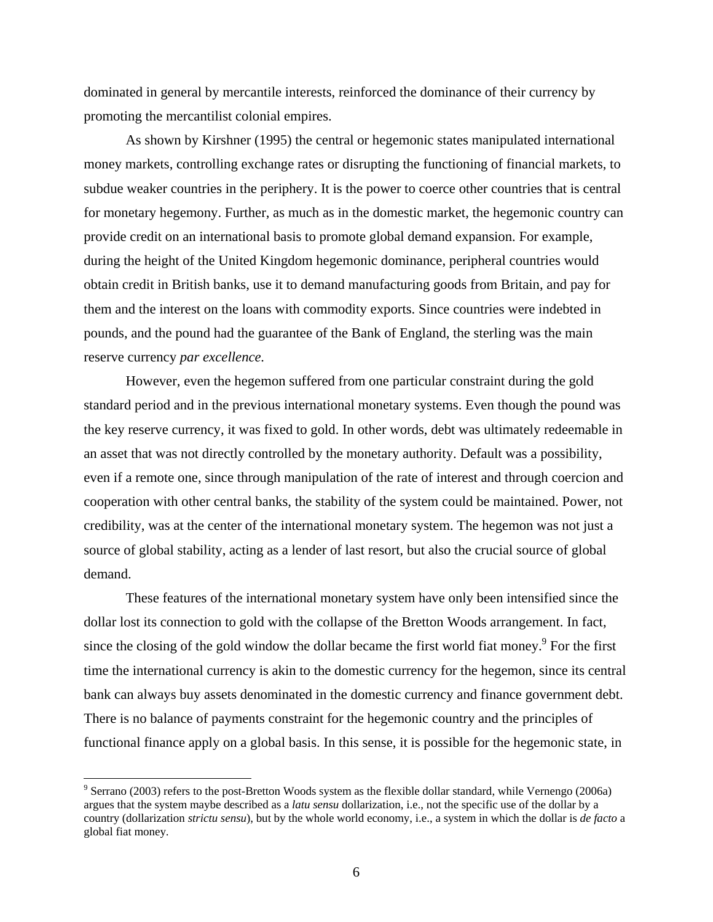dominated in general by mercantile interests, reinforced the dominance of their currency by promoting the mercantilist colonial empires.

As shown by Kirshner (1995) the central or hegemonic states manipulated international money markets, controlling exchange rates or disrupting the functioning of financial markets, to subdue weaker countries in the periphery. It is the power to coerce other countries that is central for monetary hegemony. Further, as much as in the domestic market, the hegemonic country can provide credit on an international basis to promote global demand expansion. For example, during the height of the United Kingdom hegemonic dominance, peripheral countries would obtain credit in British banks, use it to demand manufacturing goods from Britain, and pay for them and the interest on the loans with commodity exports. Since countries were indebted in pounds, and the pound had the guarantee of the Bank of England, the sterling was the main reserve currency *par excellence.*

However, even the hegemon suffered from one particular constraint during the gold standard period and in the previous international monetary systems. Even though the pound was the key reserve currency, it was fixed to gold. In other words, debt was ultimately redeemable in an asset that was not directly controlled by the monetary authority. Default was a possibility, even if a remote one, since through manipulation of the rate of interest and through coercion and cooperation with other central banks, the stability of the system could be maintained. Power, not credibility, was at the center of the international monetary system. The hegemon was not just a source of global stability, acting as a lender of last resort, but also the crucial source of global demand.

These features of the international monetary system have only been intensified since the dollar lost its connection to gold with the collapse of the Bretton Woods arrangement. In fact, since the closing of the gold window the dollar became the first world fiat money.<sup>9</sup> For the first time the international currency is akin to the domestic currency for the hegemon, since its central bank can always buy assets denominated in the domestic currency and finance government debt. There is no balance of payments constraint for the hegemonic country and the principles of functional finance apply on a global basis. In this sense, it is possible for the hegemonic state, in

<sup>&</sup>lt;sup>9</sup> Serrano (2003) refers to the post-Bretton Woods system as the flexible dollar standard, while Vernengo (2006a) argues that the system maybe described as a *latu sensu* dollarization, i.e., not the specific use of the dollar by a country (dollarization *strictu sensu*), but by the whole world economy, i.e., a system in which the dollar is *de facto* a global fiat money.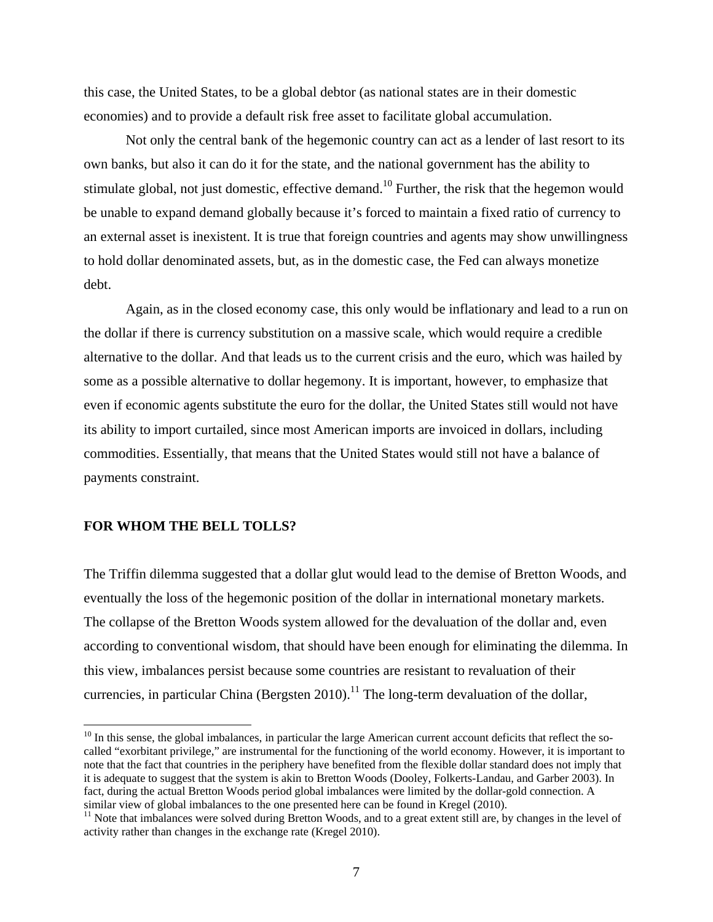this case, the United States, to be a global debtor (as national states are in their domestic economies) and to provide a default risk free asset to facilitate global accumulation.

Not only the central bank of the hegemonic country can act as a lender of last resort to its own banks, but also it can do it for the state, and the national government has the ability to stimulate global, not just domestic, effective demand.<sup>10</sup> Further, the risk that the hegemon would be unable to expand demand globally because it's forced to maintain a fixed ratio of currency to an external asset is inexistent. It is true that foreign countries and agents may show unwillingness to hold dollar denominated assets, but, as in the domestic case, the Fed can always monetize debt.

Again, as in the closed economy case, this only would be inflationary and lead to a run on the dollar if there is currency substitution on a massive scale, which would require a credible alternative to the dollar. And that leads us to the current crisis and the euro, which was hailed by some as a possible alternative to dollar hegemony. It is important, however, to emphasize that even if economic agents substitute the euro for the dollar, the United States still would not have its ability to import curtailed, since most American imports are invoiced in dollars, including commodities. Essentially, that means that the United States would still not have a balance of payments constraint.

### **FOR WHOM THE BELL TOLLS?**

The Triffin dilemma suggested that a dollar glut would lead to the demise of Bretton Woods, and eventually the loss of the hegemonic position of the dollar in international monetary markets. The collapse of the Bretton Woods system allowed for the devaluation of the dollar and, even according to conventional wisdom, that should have been enough for eliminating the dilemma. In this view, imbalances persist because some countries are resistant to revaluation of their currencies, in particular China (Bergsten 2010).<sup>11</sup> The long-term devaluation of the dollar,

 $10$  In this sense, the global imbalances, in particular the large American current account deficits that reflect the socalled "exorbitant privilege," are instrumental for the functioning of the world economy. However, it is important to note that the fact that countries in the periphery have benefited from the flexible dollar standard does not imply that it is adequate to suggest that the system is akin to Bretton Woods (Dooley, Folkerts-Landau, and Garber 2003). In fact, during the actual Bretton Woods period global imbalances were limited by the dollar-gold connection. A

similar view of global imbalances to the one presented here can be found in Kregel (2010).<br><sup>11</sup> Note that imbalances were solved during Bretton Woods, and to a great extent still are, by changes in the level of activity rather than changes in the exchange rate (Kregel 2010).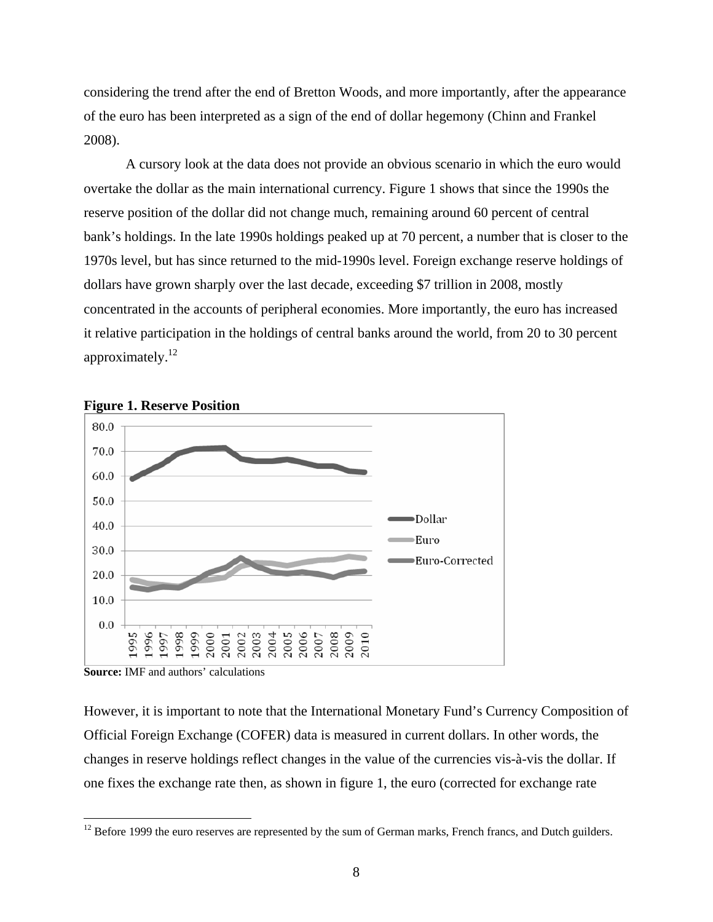considering the trend after the end of Bretton Woods, and more importantly, after the appearance of the euro has been interpreted as a sign of the end of dollar hegemony (Chinn and Frankel 2008).

A cursory look at the data does not provide an obvious scenario in which the euro would overtake the dollar as the main international currency. Figure 1 shows that since the 1990s the reserve position of the dollar did not change much, remaining around 60 percent of central bank's holdings. In the late 1990s holdings peaked up at 70 percent, a number that is closer to the 1970s level, but has since returned to the mid-1990s level. Foreign exchange reserve holdings of dollars have grown sharply over the last decade, exceeding \$7 trillion in 2008, mostly concentrated in the accounts of peripheral economies. More importantly, the euro has increased it relative participation in the holdings of central banks around the world, from 20 to 30 percent approximately. $^{12}$ 





However, it is important to note that the International Monetary Fund's Currency Composition of Official Foreign Exchange (COFER) data is measured in current dollars. In other words, the changes in reserve holdings reflect changes in the value of the currencies vis-à-vis the dollar. If one fixes the exchange rate then, as shown in figure 1, the euro (corrected for exchange rate

**Source:** IMF and authors' calculations

<sup>&</sup>lt;sup>12</sup> Before 1999 the euro reserves are represented by the sum of German marks, French francs, and Dutch guilders.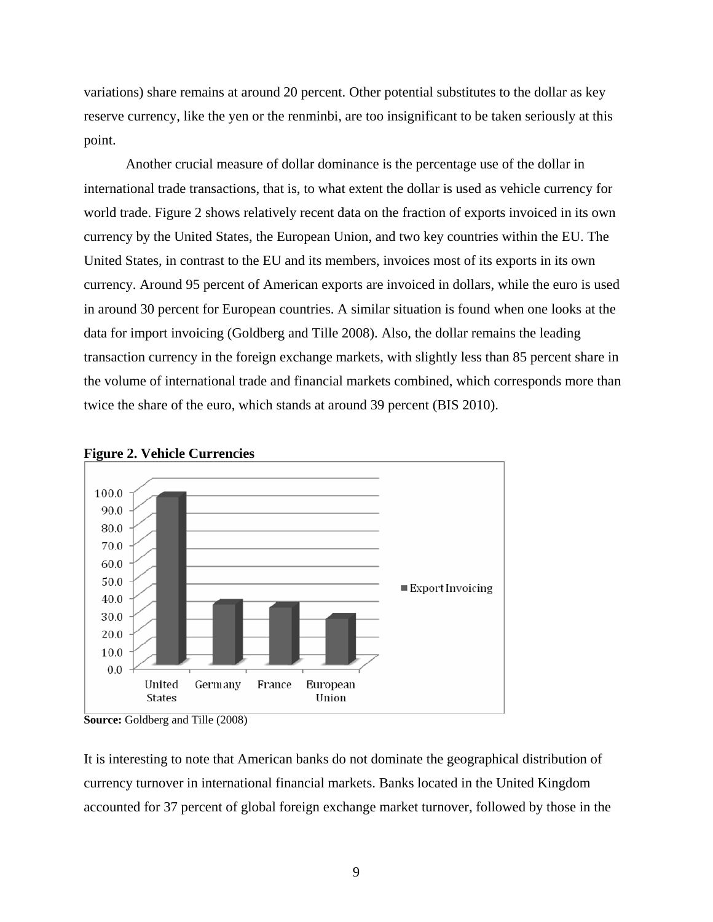variations) share remains at around 20 percent. Other potential substitutes to the dollar as key reserve currency, like the yen or the renminbi, are too insignificant to be taken seriously at this point.

Another crucial measure of dollar dominance is the percentage use of the dollar in international trade transactions, that is, to what extent the dollar is used as vehicle currency for world trade. Figure 2 shows relatively recent data on the fraction of exports invoiced in its own currency by the United States, the European Union, and two key countries within the EU. The United States, in contrast to the EU and its members, invoices most of its exports in its own currency. Around 95 percent of American exports are invoiced in dollars, while the euro is used in around 30 percent for European countries. A similar situation is found when one looks at the data for import invoicing (Goldberg and Tille 2008). Also, the dollar remains the leading transaction currency in the foreign exchange markets, with slightly less than 85 percent share in the volume of international trade and financial markets combined, which corresponds more than twice the share of the euro, which stands at around 39 percent (BIS 2010).





It is interesting to note that American banks do not dominate the geographical distribution of currency turnover in international financial markets. Banks located in the United Kingdom accounted for 37 percent of global foreign exchange market turnover, followed by those in the

**Source:** Goldberg and Tille (2008)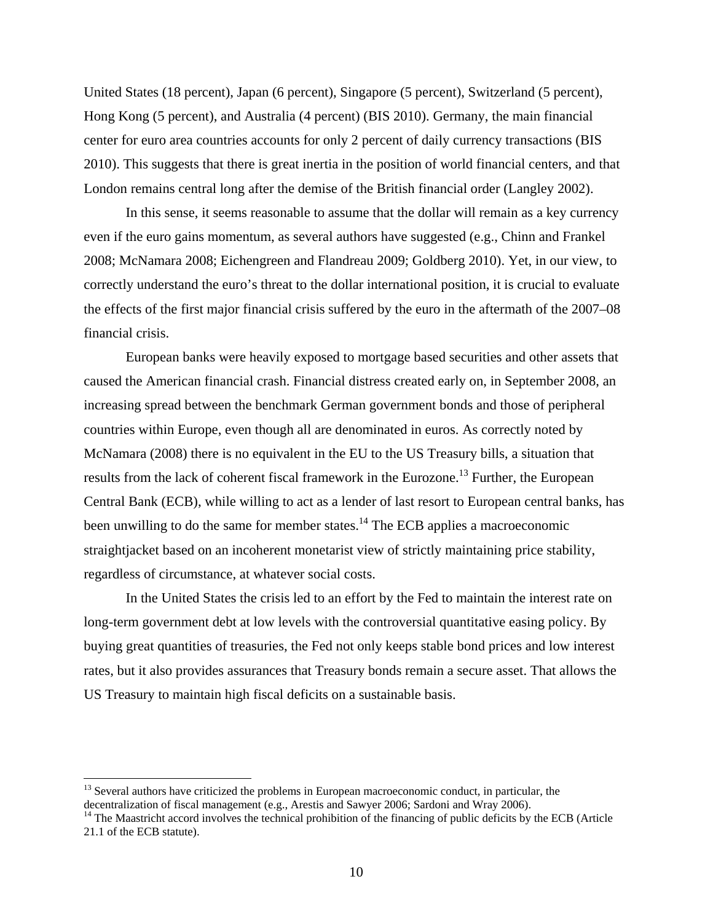United States (18 percent), Japan (6 percent), Singapore (5 percent), Switzerland (5 percent), Hong Kong (5 percent), and Australia (4 percent) (BIS 2010). Germany, the main financial center for euro area countries accounts for only 2 percent of daily currency transactions (BIS 2010). This suggests that there is great inertia in the position of world financial centers, and that London remains central long after the demise of the British financial order (Langley 2002).

In this sense, it seems reasonable to assume that the dollar will remain as a key currency even if the euro gains momentum, as several authors have suggested (e.g., Chinn and Frankel 2008; McNamara 2008; Eichengreen and Flandreau 2009; Goldberg 2010). Yet, in our view, to correctly understand the euro's threat to the dollar international position, it is crucial to evaluate the effects of the first major financial crisis suffered by the euro in the aftermath of the 2007–08 financial crisis.

European banks were heavily exposed to mortgage based securities and other assets that caused the American financial crash. Financial distress created early on, in September 2008, an increasing spread between the benchmark German government bonds and those of peripheral countries within Europe, even though all are denominated in euros. As correctly noted by McNamara (2008) there is no equivalent in the EU to the US Treasury bills, a situation that results from the lack of coherent fiscal framework in the Eurozone.<sup>13</sup> Further, the European Central Bank (ECB), while willing to act as a lender of last resort to European central banks, has been unwilling to do the same for member states.<sup>14</sup> The ECB applies a macroeconomic straightjacket based on an incoherent monetarist view of strictly maintaining price stability, regardless of circumstance, at whatever social costs.

In the United States the crisis led to an effort by the Fed to maintain the interest rate on long-term government debt at low levels with the controversial quantitative easing policy. By buying great quantities of treasuries, the Fed not only keeps stable bond prices and low interest rates, but it also provides assurances that Treasury bonds remain a secure asset. That allows the US Treasury to maintain high fiscal deficits on a sustainable basis.

<sup>&</sup>lt;sup>13</sup> Several authors have criticized the problems in European macroeconomic conduct, in particular, the decentralization of fiscal management (e.g., Arestis and Sawyer 2006; Sardoni and Wray 2006).

 $14$  The Maastricht accord involves the technical prohibition of the financing of public deficits by the ECB (Article 21.1 of the ECB statute).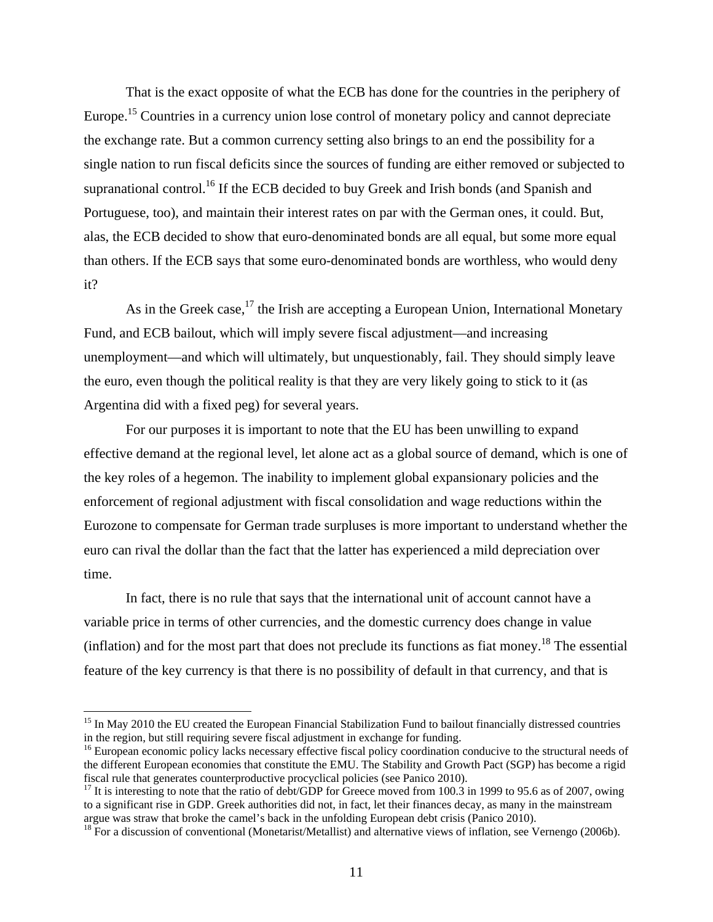That is the exact opposite of what the ECB has done for the countries in the periphery of Europe.<sup>15</sup> Countries in a currency union lose control of monetary policy and cannot depreciate the exchange rate. But a common currency setting also brings to an end the possibility for a single nation to run fiscal deficits since the sources of funding are either removed or subjected to supranational control.<sup>16</sup> If the ECB decided to buy Greek and Irish bonds (and Spanish and Portuguese, too), and maintain their interest rates on par with the German ones, it could. But, alas, the ECB decided to show that euro-denominated bonds are all equal, but some more equal than others. If the ECB says that some euro-denominated bonds are worthless, who would deny it?

As in the Greek case,  $^{17}$  the Irish are accepting a European Union, International Monetary Fund, and ECB bailout, which will imply severe fiscal adjustment—and increasing unemployment—and which will ultimately, but unquestionably, fail. They should simply leave the euro, even though the political reality is that they are very likely going to stick to it (as Argentina did with a fixed peg) for several years.

For our purposes it is important to note that the EU has been unwilling to expand effective demand at the regional level, let alone act as a global source of demand, which is one of the key roles of a hegemon. The inability to implement global expansionary policies and the enforcement of regional adjustment with fiscal consolidation and wage reductions within the Eurozone to compensate for German trade surpluses is more important to understand whether the euro can rival the dollar than the fact that the latter has experienced a mild depreciation over time.

In fact, there is no rule that says that the international unit of account cannot have a variable price in terms of other currencies, and the domestic currency does change in value  $(inflation)$  and for the most part that does not preclude its functions as fiat money.<sup>18</sup> The essential feature of the key currency is that there is no possibility of default in that currency, and that is

<sup>&</sup>lt;sup>15</sup> In May 2010 the EU created the European Financial Stabilization Fund to bailout financially distressed countries in the region, but still requiring severe fiscal adjustment in exchange for funding.<br><sup>16</sup> European economic policy lacks necessary effective fiscal policy coordination conducive to the structural needs of

the different European economies that constitute the EMU. The Stability and Growth Pact (SGP) has become a rigid fiscal rule that generates counterproductive procyclical policies (see Panico 2010).

<sup>&</sup>lt;sup>17</sup> It is interesting to note that the ratio of debt/GDP for Greece moved from 100.3 in 1999 to 95.6 as of 2007, owing to a significant rise in GDP. Greek authorities did not, in fact, let their finances decay, as many in the mainstream argue was straw that broke the camel's back in the unfolding European debt crisis (Panico 2010).<br><sup>18</sup> For a discussion of conventional (Monetarist/Metallist) and alternative views of inflation, see Vernengo (2006b).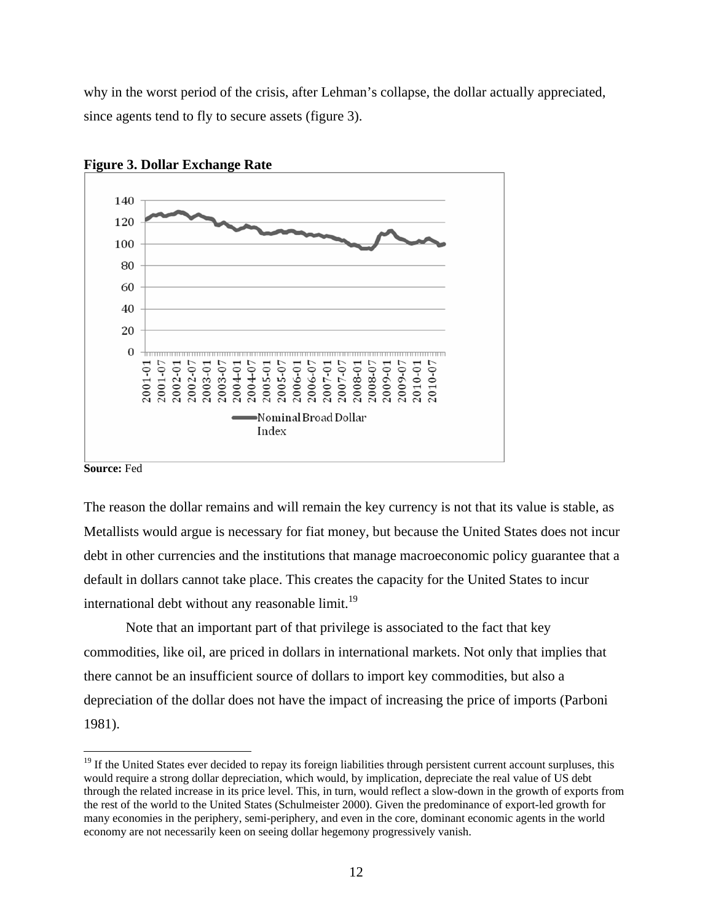why in the worst period of the crisis, after Lehman's collapse, the dollar actually appreciated, since agents tend to fly to secure assets (figure 3).



**Figure 3. Dollar Exchange Rate** 

#### **Source:** Fed

The reason the dollar remains and will remain the key currency is not that its value is stable, as Metallists would argue is necessary for fiat money, but because the United States does not incur debt in other currencies and the institutions that manage macroeconomic policy guarantee that a default in dollars cannot take place. This creates the capacity for the United States to incur international debt without any reasonable limit.<sup>19</sup>

Note that an important part of that privilege is associated to the fact that key commodities, like oil, are priced in dollars in international markets. Not only that implies that there cannot be an insufficient source of dollars to import key commodities, but also a depreciation of the dollar does not have the impact of increasing the price of imports (Parboni 1981).

 $19$  If the United States ever decided to repay its foreign liabilities through persistent current account surpluses, this would require a strong dollar depreciation, which would, by implication, depreciate the real value of US debt through the related increase in its price level. This, in turn, would reflect a slow-down in the growth of exports from the rest of the world to the United States (Schulmeister 2000). Given the predominance of export-led growth for many economies in the periphery, semi-periphery, and even in the core, dominant economic agents in the world economy are not necessarily keen on seeing dollar hegemony progressively vanish.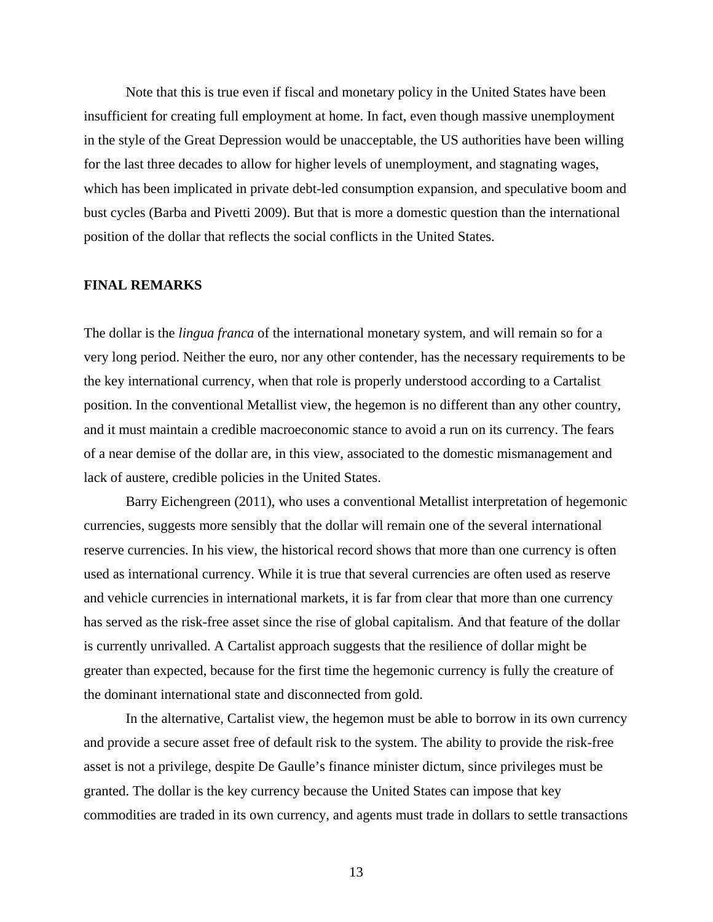Note that this is true even if fiscal and monetary policy in the United States have been insufficient for creating full employment at home. In fact, even though massive unemployment in the style of the Great Depression would be unacceptable, the US authorities have been willing for the last three decades to allow for higher levels of unemployment, and stagnating wages, which has been implicated in private debt-led consumption expansion, and speculative boom and bust cycles (Barba and Pivetti 2009). But that is more a domestic question than the international position of the dollar that reflects the social conflicts in the United States.

#### **FINAL REMARKS**

The dollar is the *lingua franca* of the international monetary system, and will remain so for a very long period. Neither the euro, nor any other contender, has the necessary requirements to be the key international currency, when that role is properly understood according to a Cartalist position. In the conventional Metallist view, the hegemon is no different than any other country, and it must maintain a credible macroeconomic stance to avoid a run on its currency. The fears of a near demise of the dollar are, in this view, associated to the domestic mismanagement and lack of austere, credible policies in the United States.

Barry Eichengreen (2011), who uses a conventional Metallist interpretation of hegemonic currencies, suggests more sensibly that the dollar will remain one of the several international reserve currencies. In his view, the historical record shows that more than one currency is often used as international currency. While it is true that several currencies are often used as reserve and vehicle currencies in international markets, it is far from clear that more than one currency has served as the risk-free asset since the rise of global capitalism. And that feature of the dollar is currently unrivalled. A Cartalist approach suggests that the resilience of dollar might be greater than expected, because for the first time the hegemonic currency is fully the creature of the dominant international state and disconnected from gold.

In the alternative, Cartalist view, the hegemon must be able to borrow in its own currency and provide a secure asset free of default risk to the system. The ability to provide the risk-free asset is not a privilege, despite De Gaulle's finance minister dictum, since privileges must be granted. The dollar is the key currency because the United States can impose that key commodities are traded in its own currency, and agents must trade in dollars to settle transactions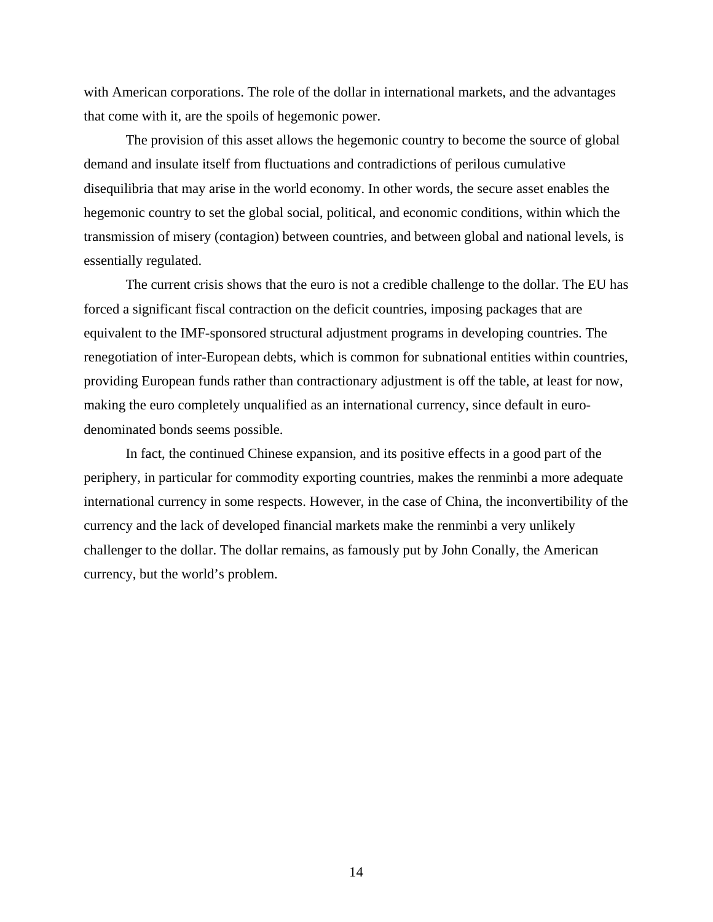with American corporations. The role of the dollar in international markets, and the advantages that come with it, are the spoils of hegemonic power.

The provision of this asset allows the hegemonic country to become the source of global demand and insulate itself from fluctuations and contradictions of perilous cumulative disequilibria that may arise in the world economy. In other words, the secure asset enables the hegemonic country to set the global social, political, and economic conditions, within which the transmission of misery (contagion) between countries, and between global and national levels, is essentially regulated.

The current crisis shows that the euro is not a credible challenge to the dollar. The EU has forced a significant fiscal contraction on the deficit countries, imposing packages that are equivalent to the IMF-sponsored structural adjustment programs in developing countries. The renegotiation of inter-European debts, which is common for subnational entities within countries, providing European funds rather than contractionary adjustment is off the table, at least for now, making the euro completely unqualified as an international currency, since default in eurodenominated bonds seems possible.

In fact, the continued Chinese expansion, and its positive effects in a good part of the periphery, in particular for commodity exporting countries, makes the renminbi a more adequate international currency in some respects. However, in the case of China, the inconvertibility of the currency and the lack of developed financial markets make the renminbi a very unlikely challenger to the dollar. The dollar remains, as famously put by John Conally, the American currency, but the world's problem.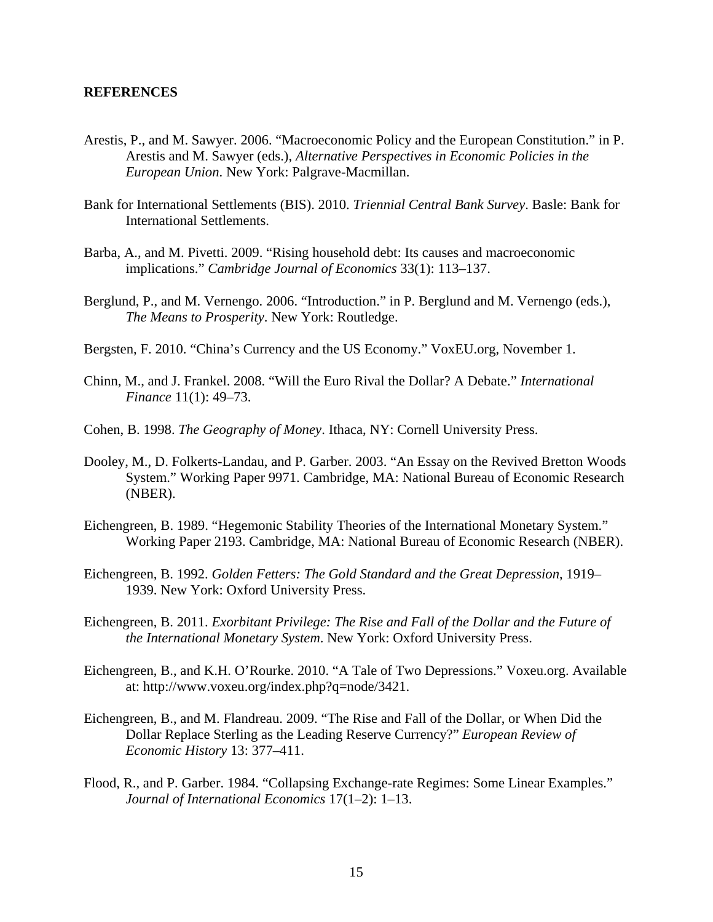#### **REFERENCES**

- Arestis, P., and M. Sawyer. 2006. "Macroeconomic Policy and the European Constitution." in P. Arestis and M. Sawyer (eds.), *Alternative Perspectives in Economic Policies in the European Union*. New York: Palgrave-Macmillan.
- Bank for International Settlements (BIS). 2010. *Triennial Central Bank Survey*. Basle: Bank for International Settlements.
- Barba, A., and M. Pivetti. 2009. "Rising household debt: Its causes and macroeconomic implications." *Cambridge Journal of Economics* 33(1): 113–137.
- Berglund, P., and M. Vernengo. 2006. "Introduction." in P. Berglund and M. Vernengo (eds.), *The Means to Prosperity*. New York: Routledge.
- Bergsten, F. 2010. "China's Currency and the US Economy." VoxEU.org, November 1.
- Chinn, M., and J. Frankel. 2008. "Will the Euro Rival the Dollar? A Debate." *International Finance* 11(1): 49–73.
- Cohen, B. 1998. *The Geography of Money*. Ithaca, NY: Cornell University Press.
- Dooley, M., D. Folkerts-Landau, and P. Garber. 2003. "An Essay on the Revived Bretton Woods System." Working Paper 9971. Cambridge, MA: National Bureau of Economic Research (NBER).
- Eichengreen, B. 1989. "Hegemonic Stability Theories of the International Monetary System." Working Paper 2193. Cambridge, MA: National Bureau of Economic Research (NBER).
- Eichengreen, B. 1992. *Golden Fetters: The Gold Standard and the Great Depression*, 1919– 1939. New York: Oxford University Press.
- Eichengreen, B. 2011. *Exorbitant Privilege: The Rise and Fall of the Dollar and the Future of the International Monetary System*. New York: Oxford University Press.
- Eichengreen, B., and K.H. O'Rourke. 2010. "A Tale of Two Depressions." Voxeu.org. Available at: http://www.voxeu.org/index.php?q=node/3421.
- Eichengreen, B., and M. Flandreau. 2009. "The Rise and Fall of the Dollar, or When Did the Dollar Replace Sterling as the Leading Reserve Currency?" *European Review of Economic History* 13: 377–411.
- Flood, R., and P. Garber. 1984. "Collapsing Exchange-rate Regimes: Some Linear Examples." *Journal of International Economics* 17(1–2): 1–13.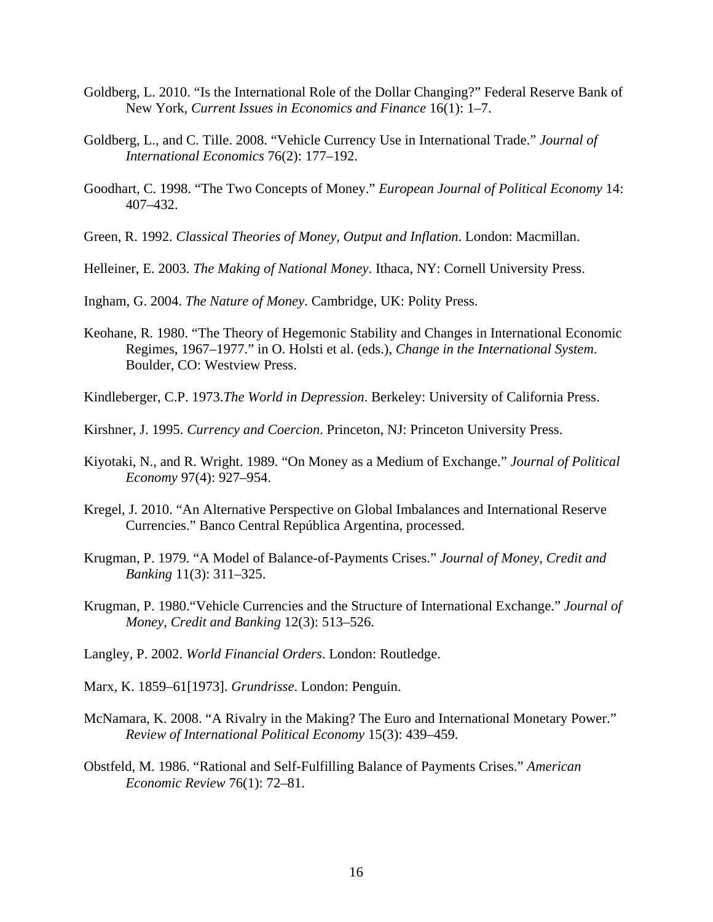- Goldberg, L. 2010. "Is the International Role of the Dollar Changing?" Federal Reserve Bank of New York, *Current Issues in Economics and Finance* 16(1): 1–7.
- Goldberg, L., and C. Tille. 2008. "Vehicle Currency Use in International Trade." *Journal of International Economics* 76(2): 177–192.
- Goodhart, C. 1998. "The Two Concepts of Money." *European Journal of Political Economy* 14: 407–432.
- Green, R. 1992. *Classical Theories of Money, Output and Inflation*. London: Macmillan.
- Helleiner, E. 2003. *The Making of National Money*. Ithaca, NY: Cornell University Press.
- Ingham, G. 2004. *The Nature of Money*. Cambridge, UK: Polity Press.
- Keohane, R. 1980. "The Theory of Hegemonic Stability and Changes in International Economic Regimes, 1967–1977." in O. Holsti et al. (eds.), *Change in the International System*. Boulder, CO: Westview Press.
- Kindleberger, C.P. 1973.*The World in Depression*. Berkeley: University of California Press.
- Kirshner, J. 1995. *Currency and Coercion*. Princeton, NJ: Princeton University Press.
- Kiyotaki, N., and R. Wright. 1989. "On Money as a Medium of Exchange." *Journal of Political Economy* 97(4): 927–954.
- Kregel, J. 2010. "An Alternative Perspective on Global Imbalances and International Reserve Currencies." Banco Central República Argentina, processed.
- Krugman, P. 1979. "A Model of Balance-of-Payments Crises." *Journal of Money, Credit and Banking* 11(3): 311–325.
- Krugman, P. 1980."Vehicle Currencies and the Structure of International Exchange." *Journal of Money, Credit and Banking* 12(3): 513–526.
- Langley, P. 2002. *World Financial Orders*. London: Routledge.
- Marx, K. 1859–61[1973]. *Grundrisse*. London: Penguin.
- McNamara, K. 2008. "A Rivalry in the Making? The Euro and International Monetary Power." *Review of International Political Economy* 15(3): 439–459.
- Obstfeld, M. 1986. "Rational and Self-Fulfilling Balance of Payments Crises." *American Economic Review* 76(1): 72–81.